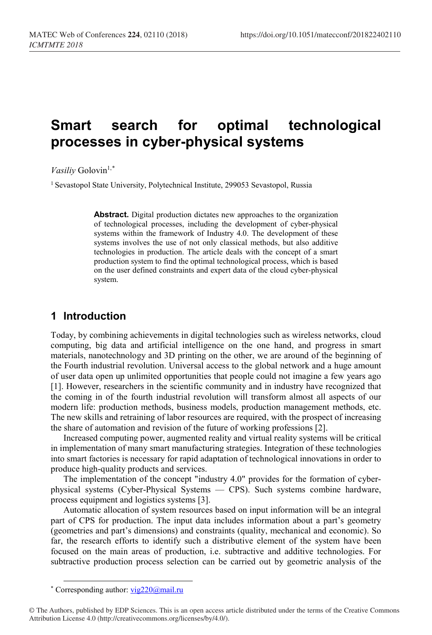# **Smart search for optimal technological processes in cyber-physical systems**

*Vasiliy* Golovin<sup>1,[\\*](#page-0-0)</sup>

<sup>1</sup> Sevastopol State University, Polytechnical Institute, 299053 Sevastopol, Russia

**Abstract.** Digital production dictates new approaches to the organization of technological processes, including the development of cyber-physical systems within the framework of Industry 4.0. The development of these systems involves the use of not only classical methods, but also additive technologies in production. The article deals with the concept of a smart production system to find the optimal technological process, which is based on the user defined constraints and expert data of the cloud cyber-physical system.

## **1 Introduction**

Today, by combining achievements in digital technologies such as wireless networks, cloud computing, big data and artificial intelligence on the one hand, and progress in smart materials, nanotechnology and 3D printing on the other, we are around of the beginning of the Fourth industrial revolution. Universal access to the global network and a huge amount of user data open up unlimited opportunities that people could not imagine a few years ago [1]. However, researchers in the scientific community and in industry have recognized that the coming in of the fourth industrial revolution will transform almost all aspects of our modern life: production methods, business models, production management methods, etc. The new skills and retraining of labor resources are required, with the prospect of increasing the share of automation and revision of the future of working professions [2].

Increased computing power, augmented reality and virtual reality systems will be critical in implementation of many smart manufacturing strategies. Integration of these technologies into smart factories is necessary for rapid adaptation of technological innovations in order to produce high-quality products and services.

The implementation of the concept "industry 4.0" provides for the formation of cyberphysical systems (Cyber-Physical Systems — CPS). Such systems combine hardware, process equipment and logistics systems [3].

Automatic allocation of system resources based on input information will be an integral part of CPS for production. The input data includes information about a part's geometry (geometries and part's dimensions) and constraints (quality, mechanical and economic). So far, the research efforts to identify such a distributive element of the system have been focused on the main areas of production, i.e. subtractive and additive technologies. For subtractive production process selection can be carried out by geometric analysis of the

<sup>\*</sup> Corresponding author[: vig220@mail.ru](mailto:vig220@mail.ru)

<span id="page-0-0"></span><sup>©</sup> The Authors, published by EDP Sciences. This is an open access article distributed under the terms of the Creative Commons Attribution License 4.0 (http://creativecommons.org/licenses/by/4.0/).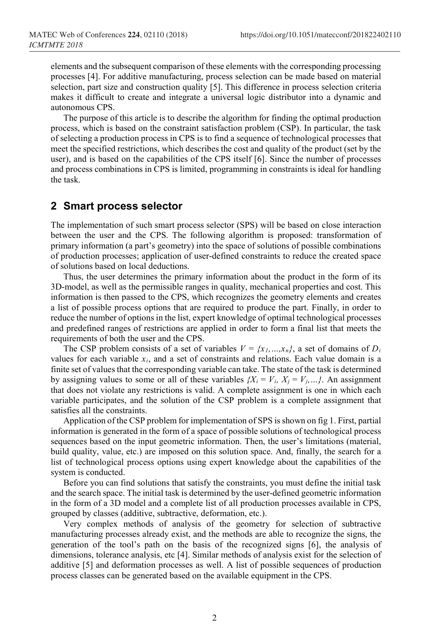elements and the subsequent comparison of these elements with the corresponding processing processes [4]. For additive manufacturing, process selection can be made based on material selection, part size and construction quality [5]. This difference in process selection criteria makes it difficult to create and integrate a universal logic distributor into a dynamic and autonomous CPS.

The purpose of this article is to describe the algorithm for finding the optimal production process, which is based on the constraint satisfaction problem (CSP). In particular, the task of selecting a production process in CPS is to find a sequence of technological processes that meet the specified restrictions, which describes the cost and quality of the product (set by the user), and is based on the capabilities of the CPS itself [6]. Since the number of processes and process combinations in CPS is limited, programming in constraints is ideal for handling the task.

#### **2 Smart process selector**

The implementation of such smart process selector (SPS) will be based on close interaction between the user and the CPS. The following algorithm is proposed: transformation of primary information (a part's geometry) into the space of solutions of possible combinations of production processes; application of user-defined constraints to reduce the created space of solutions based on local deductions.

Thus, the user determines the primary information about the product in the form of its 3D-model, as well as the permissible ranges in quality, mechanical properties and cost. This information is then passed to the CPS, which recognizes the geometry elements and creates a list of possible process options that are required to produce the part. Finally, in order to reduce the number of options in the list, expert knowledge of optimal technological processes and predefined ranges of restrictions are applied in order to form a final list that meets the requirements of both the user and the CPS.

The CSP problem consists of a set of variables  $V = \{x_1, ..., x_n\}$ , a set of domains of  $D_i$ values for each variable *xi*, and a set of constraints and relations. Each value domain is a finite set of values that the corresponding variable can take. The state of the task is determined by assigning values to some or all of these variables  ${X_i = V_i, X_j = V_j, ...}$ . An assignment that does not violate any restrictions is valid. A complete assignment is one in which each variable participates, and the solution of the CSP problem is a complete assignment that satisfies all the constraints.

Application of the CSP problem for implementation of SPS is shown on fig 1. First, partial information is generated in the form of a space of possible solutions of technological process sequences based on the input geometric information. Then, the user's limitations (material, build quality, value, etc.) are imposed on this solution space. And, finally, the search for a list of technological process options using expert knowledge about the capabilities of the system is conducted.

Before you can find solutions that satisfy the constraints, you must define the initial task and the search space. The initial task is determined by the user-defined geometric information in the form of a 3D model and a complete list of all production processes available in CPS, grouped by classes (additive, subtractive, deformation, etc.).

Very complex methods of analysis of the geometry for selection of subtractive manufacturing processes already exist, and the methods are able to recognize the signs, the generation of the tool's path on the basis of the recognized signs [6], the analysis of dimensions, tolerance analysis, etc [4]. Similar methods of analysis exist for the selection of additive [5] and deformation processes as well. A list of possible sequences of production process classes can be generated based on the available equipment in the CPS.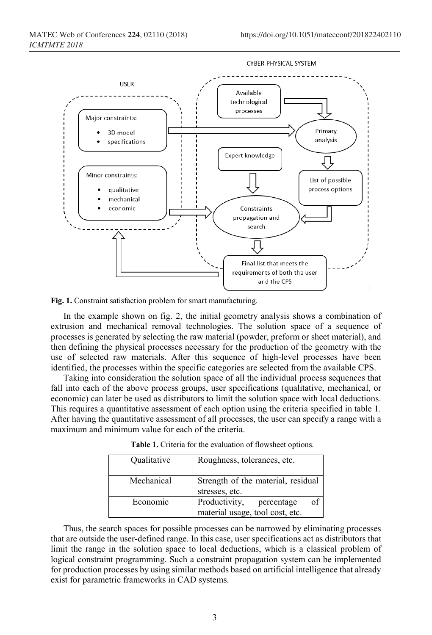

**Fig. 1.** Constraint satisfaction problem for smart manufacturing.

In the example shown on fig. 2, the initial geometry analysis shows a combination of extrusion and mechanical removal technologies. The solution space of a sequence of processes is generated by selecting the raw material (powder, preform or sheet material), and then defining the physical processes necessary for the production of the geometry with the use of selected raw materials. After this sequence of high-level processes have been identified, the processes within the specific categories are selected from the available CPS.

Taking into consideration the solution space of all the individual process sequences that fall into each of the above process groups, user specifications (qualitative, mechanical, or economic) can later be used as distributors to limit the solution space with local deductions. This requires a quantitative assessment of each option using the criteria specified in table 1. After having the quantitative assessment of all processes, the user can specify a range with a maximum and minimum value for each of the criteria.

| Qualitative | Roughness, tolerances, etc.                                          |
|-------------|----------------------------------------------------------------------|
| Mechanical  | Strength of the material, residual<br>stresses, etc.                 |
| Economic    | Productivity,<br>of<br>percentage<br>material usage, tool cost, etc. |

**Table 1.** Criteria for the evaluation of flowsheet options.

Thus, the search spaces for possible processes can be narrowed by eliminating processes that are outside the user-defined range. In this case, user specifications act as distributors that limit the range in the solution space to local deductions, which is a classical problem of logical constraint programming. Such a constraint propagation system can be implemented for production processes by using similar methods based on artificial intelligence that already exist for parametric frameworks in CAD systems.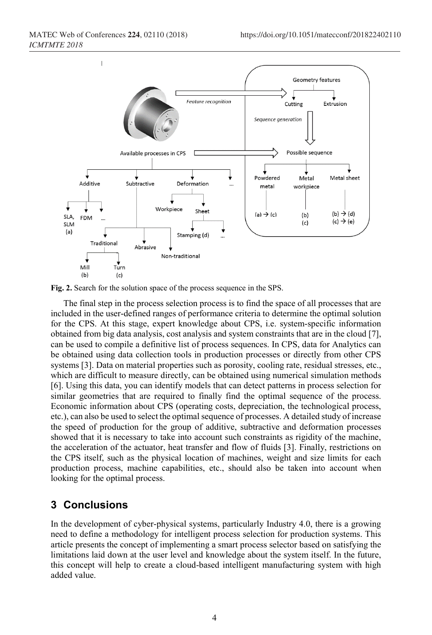

**Fig. 2.** Search for the solution space of the process sequence in the SPS.

The final step in the process selection process is to find the space of all processes that are included in the user-defined ranges of performance criteria to determine the optimal solution for the CPS. At this stage, expert knowledge about CPS, i.e. system-specific information obtained from big data analysis, cost analysis and system constraints that are in the cloud [7], can be used to compile a definitive list of process sequences. In CPS, data for Analytics can be obtained using data collection tools in production processes or directly from other CPS systems [3]. Data on material properties such as porosity, cooling rate, residual stresses, etc., which are difficult to measure directly, can be obtained using numerical simulation methods [6]. Using this data, you can identify models that can detect patterns in process selection for similar geometries that are required to finally find the optimal sequence of the process. Economic information about CPS (operating costs, depreciation, the technological process, etc.), can also be used to select the optimal sequence of processes. A detailed study of increase the speed of production for the group of additive, subtractive and deformation processes showed that it is necessary to take into account such constraints as rigidity of the machine, the acceleration of the actuator, heat transfer and flow of fluids [3]. Finally, restrictions on the CPS itself, such as the physical location of machines, weight and size limits for each production process, machine capabilities, etc., should also be taken into account when looking for the optimal process.

## **3 Conclusions**

In the development of cyber-physical systems, particularly Industry 4.0, there is a growing need to define a methodology for intelligent process selection for production systems. This article presents the concept of implementing a smart process selector based on satisfying the limitations laid down at the user level and knowledge about the system itself. In the future, this concept will help to create a cloud-based intelligent manufacturing system with high added value.